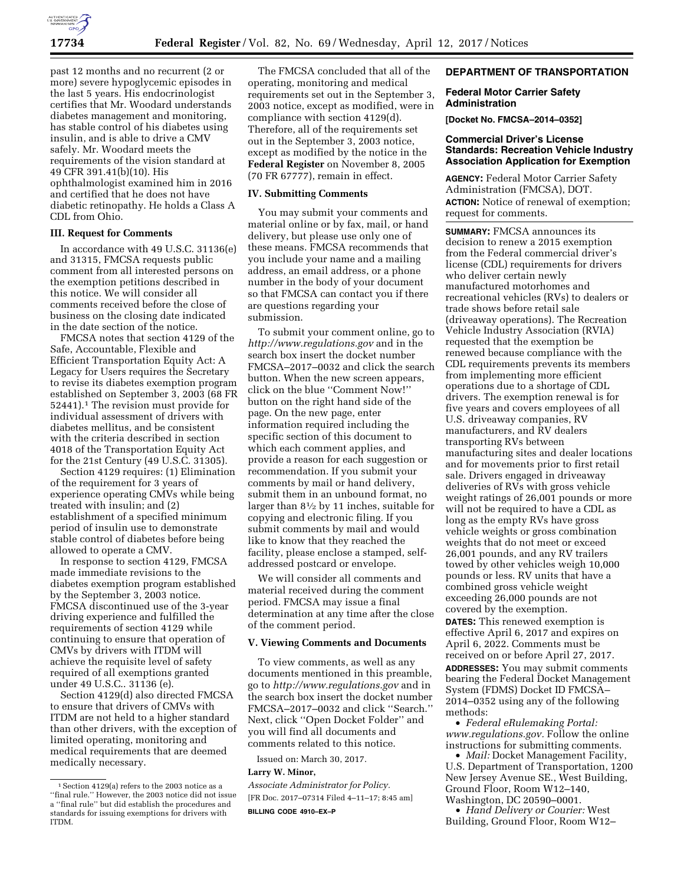

past 12 months and no recurrent (2 or more) severe hypoglycemic episodes in the last 5 years. His endocrinologist certifies that Mr. Woodard understands diabetes management and monitoring, has stable control of his diabetes using insulin, and is able to drive a CMV safely. Mr. Woodard meets the requirements of the vision standard at 49 CFR 391.41(b)(10). His ophthalmologist examined him in 2016 and certified that he does not have diabetic retinopathy. He holds a Class A CDL from Ohio.

### **III. Request for Comments**

In accordance with 49 U.S.C. 31136(e) and 31315, FMCSA requests public comment from all interested persons on the exemption petitions described in this notice. We will consider all comments received before the close of business on the closing date indicated in the date section of the notice.

FMCSA notes that section 4129 of the Safe, Accountable, Flexible and Efficient Transportation Equity Act: A Legacy for Users requires the Secretary to revise its diabetes exemption program established on September 3, 2003 (68 FR 52441).1 The revision must provide for individual assessment of drivers with diabetes mellitus, and be consistent with the criteria described in section 4018 of the Transportation Equity Act for the 21st Century (49 U.S.C. 31305).

Section 4129 requires: (1) Elimination of the requirement for 3 years of experience operating CMVs while being treated with insulin; and (2) establishment of a specified minimum period of insulin use to demonstrate stable control of diabetes before being allowed to operate a CMV.

In response to section 4129, FMCSA made immediate revisions to the diabetes exemption program established by the September 3, 2003 notice. FMCSA discontinued use of the 3-year driving experience and fulfilled the requirements of section 4129 while continuing to ensure that operation of CMVs by drivers with ITDM will achieve the requisite level of safety required of all exemptions granted under 49 U.S.C.. 31136 (e).

Section 4129(d) also directed FMCSA to ensure that drivers of CMVs with ITDM are not held to a higher standard than other drivers, with the exception of limited operating, monitoring and medical requirements that are deemed medically necessary.

The FMCSA concluded that all of the operating, monitoring and medical requirements set out in the September 3, 2003 notice, except as modified, were in compliance with section 4129(d). Therefore, all of the requirements set out in the September 3, 2003 notice, except as modified by the notice in the **Federal Register** on November 8, 2005 (70 FR 67777), remain in effect.

#### **IV. Submitting Comments**

You may submit your comments and material online or by fax, mail, or hand delivery, but please use only one of these means. FMCSA recommends that you include your name and a mailing address, an email address, or a phone number in the body of your document so that FMCSA can contact you if there are questions regarding your submission.

To submit your comment online, go to *<http://www.regulations.gov>* and in the search box insert the docket number FMCSA–2017–0032 and click the search button. When the new screen appears, click on the blue ''Comment Now!'' button on the right hand side of the page. On the new page, enter information required including the specific section of this document to which each comment applies, and provide a reason for each suggestion or recommendation. If you submit your comments by mail or hand delivery, submit them in an unbound format, no larger than 81⁄2 by 11 inches, suitable for copying and electronic filing. If you submit comments by mail and would like to know that they reached the facility, please enclose a stamped, selfaddressed postcard or envelope.

We will consider all comments and material received during the comment period. FMCSA may issue a final determination at any time after the close of the comment period.

# **V. Viewing Comments and Documents**

To view comments, as well as any documents mentioned in this preamble, go to *<http://www.regulations.gov>*and in the search box insert the docket number FMCSA–2017–0032 and click ''Search.'' Next, click ''Open Docket Folder'' and you will find all documents and comments related to this notice.

Issued on: March 30, 2017.

### **Larry W. Minor,**

*Associate Administrator for Policy.*  [FR Doc. 2017–07314 Filed 4–11–17; 8:45 am] **BILLING CODE 4910–EX–P** 

# **DEPARTMENT OF TRANSPORTATION**

# **Federal Motor Carrier Safety Administration**

**[Docket No. FMCSA–2014–0352]** 

### **Commercial Driver's License Standards: Recreation Vehicle Industry Association Application for Exemption**

**AGENCY:** Federal Motor Carrier Safety Administration (FMCSA), DOT. **ACTION:** Notice of renewal of exemption; request for comments.

**SUMMARY:** FMCSA announces its decision to renew a 2015 exemption from the Federal commercial driver's license (CDL) requirements for drivers who deliver certain newly manufactured motorhomes and recreational vehicles (RVs) to dealers or trade shows before retail sale (driveaway operations). The Recreation Vehicle Industry Association (RVIA) requested that the exemption be renewed because compliance with the CDL requirements prevents its members from implementing more efficient operations due to a shortage of CDL drivers. The exemption renewal is for five years and covers employees of all U.S. driveaway companies, RV manufacturers, and RV dealers transporting RVs between manufacturing sites and dealer locations and for movements prior to first retail sale. Drivers engaged in driveaway deliveries of RVs with gross vehicle weight ratings of 26,001 pounds or more will not be required to have a CDL as long as the empty RVs have gross vehicle weights or gross combination weights that do not meet or exceed 26,001 pounds, and any RV trailers towed by other vehicles weigh 10,000 pounds or less. RV units that have a combined gross vehicle weight exceeding 26,000 pounds are not covered by the exemption. **DATES:** This renewed exemption is effective April 6, 2017 and expires on April 6, 2022. Comments must be received on or before April 27, 2017. **ADDRESSES:** You may submit comments bearing the Federal Docket Management System (FDMS) Docket ID FMCSA– 2014–0352 using any of the following methods:

• *Federal eRulemaking Portal: [www.regulations.gov.](http://www.regulations.gov)* Follow the online instructions for submitting comments.

• *Mail:* Docket Management Facility, U.S. Department of Transportation, 1200 New Jersey Avenue SE., West Building, Ground Floor, Room W12–140, Washington, DC 20590–0001.

• *Hand Delivery or Courier:* West Building, Ground Floor, Room W12–

<sup>1</sup>Section 4129(a) refers to the 2003 notice as a ''final rule.'' However, the 2003 notice did not issue a ''final rule'' but did establish the procedures and standards for issuing exemptions for drivers with ITDM.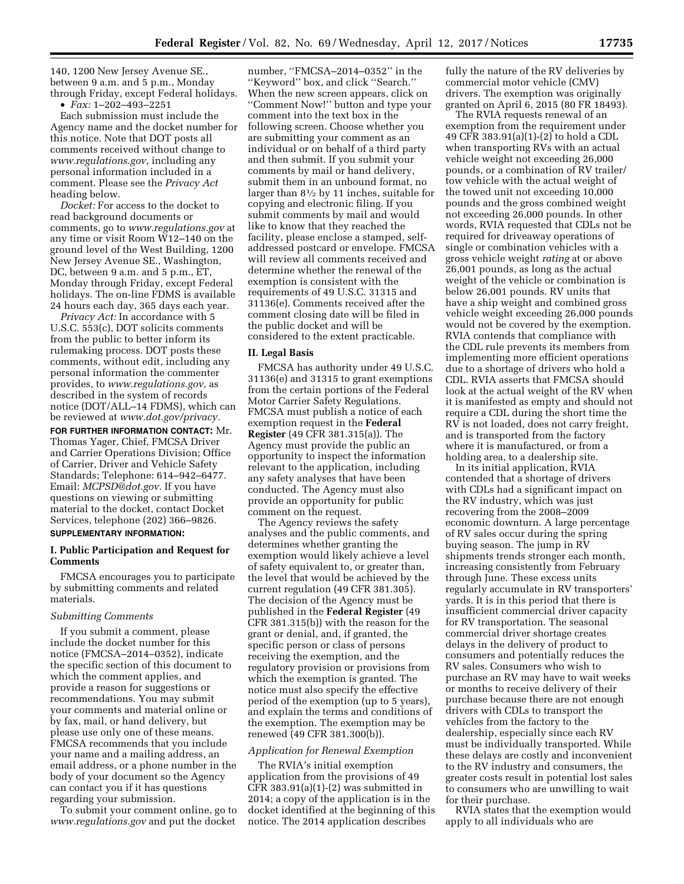140, 1200 New Jersey Avenue SE., between 9 a.m. and 5 p.m., Monday through Friday, except Federal holidays.

• *Fax:* 1–202–493–2251

Each submission must include the Agency name and the docket number for this notice. Note that DOT posts all comments received without change to *[www.regulations.gov,](http://www.regulations.gov)* including any personal information included in a comment. Please see the *Privacy Act*  heading below.

*Docket:* For access to the docket to read background documents or comments, go to *[www.regulations.gov](http://www.regulations.gov)* at any time or visit Room W12–140 on the ground level of the West Building, 1200 New Jersey Avenue SE., Washington, DC, between 9 a.m. and 5 p.m., ET, Monday through Friday, except Federal holidays. The on-line FDMS is available 24 hours each day, 365 days each year.

*Privacy Act:* In accordance with 5 U.S.C. 553(c), DOT solicits comments from the public to better inform its rulemaking process. DOT posts these comments, without edit, including any personal information the commenter provides, to *[www.regulations.gov,](http://www.regulations.gov)* as described in the system of records notice (DOT/ALL–14 FDMS), which can be reviewed at *[www.dot.gov/privacy.](http://www.dot.gov/privacy)* 

**FOR FURTHER INFORMATION CONTACT:** Mr. Thomas Yager, Chief, FMCSA Driver and Carrier Operations Division; Office of Carrier, Driver and Vehicle Safety Standards; Telephone: 614–942–6477. Email: *[MCPSD@dot.gov.](mailto:MCPSD@dot.gov)* If you have questions on viewing or submitting material to the docket, contact Docket Services, telephone (202) 366–9826.

# **SUPPLEMENTARY INFORMATION:**

# **I. Public Participation and Request for Comments**

FMCSA encourages you to participate by submitting comments and related materials.

#### *Submitting Comments*

If you submit a comment, please include the docket number for this notice (FMCSA–2014–0352), indicate the specific section of this document to which the comment applies, and provide a reason for suggestions or recommendations. You may submit your comments and material online or by fax, mail, or hand delivery, but please use only one of these means. FMCSA recommends that you include your name and a mailing address, an email address, or a phone number in the body of your document so the Agency can contact you if it has questions regarding your submission.

To submit your comment online, go to *[www.regulations.gov](http://www.regulations.gov)* and put the docket

number, ''FMCSA–2014–0352'' in the ''Keyword'' box, and click ''Search.'' When the new screen appears, click on ''Comment Now!'' button and type your comment into the text box in the following screen. Choose whether you are submitting your comment as an individual or on behalf of a third party and then submit. If you submit your comments by mail or hand delivery, submit them in an unbound format, no larger than 81⁄2 by 11 inches, suitable for copying and electronic filing. If you submit comments by mail and would like to know that they reached the facility, please enclose a stamped, selfaddressed postcard or envelope. FMCSA will review all comments received and determine whether the renewal of the exemption is consistent with the requirements of 49 U.S.C. 31315 and 31136(e). Comments received after the comment closing date will be filed in the public docket and will be considered to the extent practicable.

#### **II. Legal Basis**

FMCSA has authority under 49 U.S.C. 31136(e) and 31315 to grant exemptions from the certain portions of the Federal Motor Carrier Safety Regulations. FMCSA must publish a notice of each exemption request in the **Federal Register** (49 CFR 381.315(a)). The Agency must provide the public an opportunity to inspect the information relevant to the application, including any safety analyses that have been conducted. The Agency must also provide an opportunity for public comment on the request.

The Agency reviews the safety analyses and the public comments, and determines whether granting the exemption would likely achieve a level of safety equivalent to, or greater than, the level that would be achieved by the current regulation (49 CFR 381.305). The decision of the Agency must be published in the **Federal Register** (49 CFR 381.315(b)) with the reason for the grant or denial, and, if granted, the specific person or class of persons receiving the exemption, and the regulatory provision or provisions from which the exemption is granted. The notice must also specify the effective period of the exemption (up to 5 years), and explain the terms and conditions of the exemption. The exemption may be renewed (49 CFR 381.300(b)).

#### *Application for Renewal Exemption*

The RVIA's initial exemption application from the provisions of 49 CFR  $383.91(a)(1)-(2)$  was submitted in 2014; a copy of the application is in the docket identified at the beginning of this notice. The 2014 application describes

fully the nature of the RV deliveries by commercial motor vehicle (CMV) drivers. The exemption was originally granted on April 6, 2015 (80 FR 18493).

The RVIA requests renewal of an exemption from the requirement under 49 CFR 383.91(a)(1)-(2) to hold a CDL when transporting RVs with an actual vehicle weight not exceeding 26,000 pounds, or a combination of RV trailer/ tow vehicle with the actual weight of the towed unit not exceeding 10,000 pounds and the gross combined weight not exceeding 26,000 pounds. In other words, RVIA requested that CDLs not be required for driveaway operations of single or combination vehicles with a gross vehicle weight *rating* at or above 26,001 pounds, as long as the actual weight of the vehicle or combination is below 26,001 pounds. RV units that have a ship weight and combined gross vehicle weight exceeding 26,000 pounds would not be covered by the exemption. RVIA contends that compliance with the CDL rule prevents its members from implementing more efficient operations due to a shortage of drivers who hold a CDL. RVIA asserts that FMCSA should look at the actual weight of the RV when it is manifested as empty and should not require a CDL during the short time the RV is not loaded, does not carry freight, and is transported from the factory where it is manufactured, or from a holding area, to a dealership site.

In its initial application, RVIA contended that a shortage of drivers with CDLs had a significant impact on the RV industry, which was just recovering from the 2008–2009 economic downturn. A large percentage of RV sales occur during the spring buying season. The jump in RV shipments trends stronger each month, increasing consistently from February through June. These excess units regularly accumulate in RV transporters' yards. It is in this period that there is insufficient commercial driver capacity for RV transportation. The seasonal commercial driver shortage creates delays in the delivery of product to consumers and potentially reduces the RV sales. Consumers who wish to purchase an RV may have to wait weeks or months to receive delivery of their purchase because there are not enough drivers with CDLs to transport the vehicles from the factory to the dealership, especially since each RV must be individually transported. While these delays are costly and inconvenient to the RV industry and consumers, the greater costs result in potential lost sales to consumers who are unwilling to wait for their purchase.

RVIA states that the exemption would apply to all individuals who are